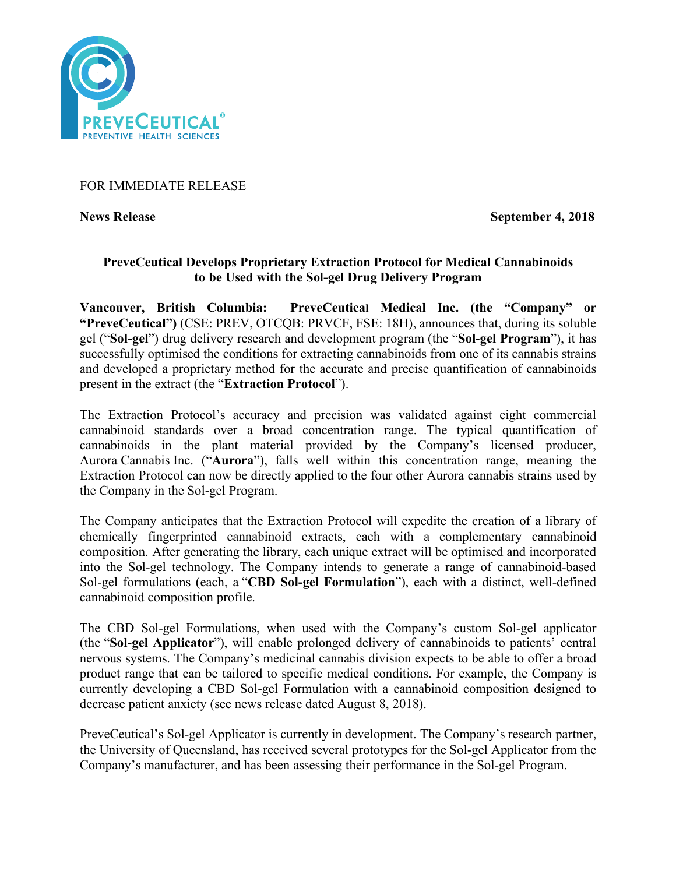

## FOR IMMEDIATE RELEASE

**News Release September 4, 2018** 

# **PreveCeutical Develops Proprietary Extraction Protocol for Medical Cannabinoids to be Used with the Sol-gel Drug Delivery Program**

**Vancouver, British Columbia: PreveCeutical Medical Inc. (the "Company" or "PreveCeutical")** (CSE: PREV, OTCQB: PRVCF, FSE: 18H), announces that, during its soluble gel ("**Sol-gel**") drug delivery research and development program (the "**Sol-gel Program**"), it has successfully optimised the conditions for extracting cannabinoids from one of its cannabis strains and developed a proprietary method for the accurate and precise quantification of cannabinoids present in the extract (the "**Extraction Protocol**").

The Extraction Protocol's accuracy and precision was validated against eight commercial cannabinoid standards over a broad concentration range. The typical quantification of cannabinoids in the plant material provided by the Company's licensed producer, Aurora Cannabis Inc. ("**Aurora**"), falls well within this concentration range, meaning the Extraction Protocol can now be directly applied to the four other Aurora cannabis strains used by the Company in the Sol-gel Program.

The Company anticipates that the Extraction Protocol will expedite the creation of a library of chemically fingerprinted cannabinoid extracts, each with a complementary cannabinoid composition. After generating the library, each unique extract will be optimised and incorporated into the Sol-gel technology. The Company intends to generate a range of cannabinoid-based Sol-gel formulations (each, a "**CBD Sol-gel Formulation**"), each with a distinct, well-defined cannabinoid composition profile.

The CBD Sol-gel Formulations, when used with the Company's custom Sol-gel applicator (the "**Sol-gel Applicator**"), will enable prolonged delivery of cannabinoids to patients' central nervous systems. The Company's medicinal cannabis division expects to be able to offer a broad product range that can be tailored to specific medical conditions. For example, the Company is currently developing a CBD Sol-gel Formulation with a cannabinoid composition designed to decrease patient anxiety (see news release dated August 8, 2018).

PreveCeutical's Sol-gel Applicator is currently in development. The Company's research partner, the University of Queensland, has received several prototypes for the Sol-gel Applicator from the Company's manufacturer, and has been assessing their performance in the Sol-gel Program.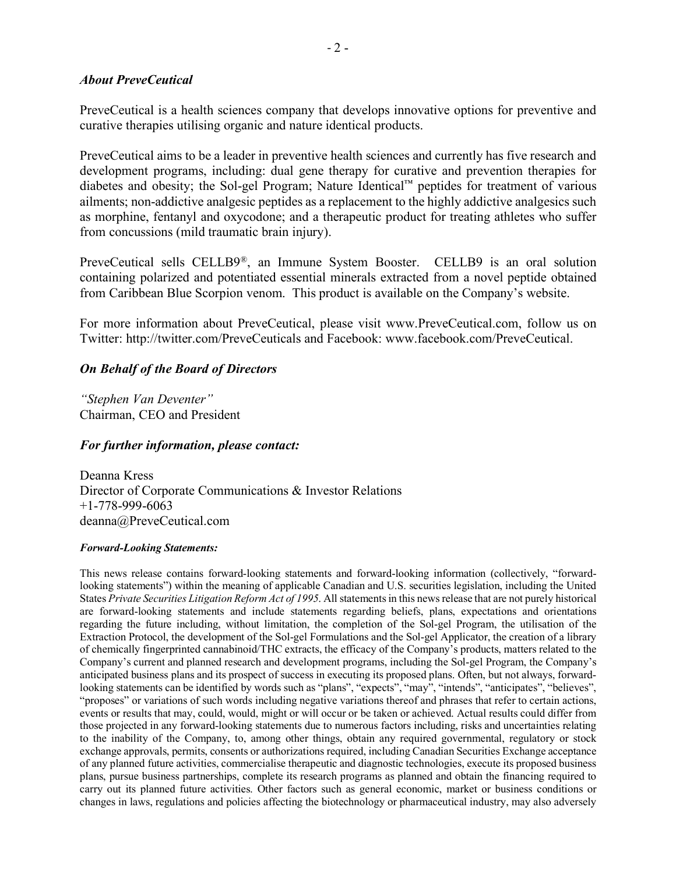#### *About PreveCeutical*

PreveCeutical is a health sciences company that develops innovative options for preventive and curative therapies utilising organic and nature identical products.

PreveCeutical aims to be a leader in preventive health sciences and currently has five research and development programs, including: dual gene therapy for curative and prevention therapies for diabetes and obesity; the Sol-gel Program; Nature Identical™ peptides for treatment of various ailments; non-addictive analgesic peptides as a replacement to the highly addictive analgesics such as morphine, fentanyl and oxycodone; and a therapeutic product for treating athletes who suffer from concussions (mild traumatic brain injury).

PreveCeutical sells CELLB9®, an Immune System Booster. CELLB9 is an oral solution containing polarized and potentiated essential minerals extracted from a novel peptide obtained from Caribbean Blue Scorpion venom. This product is available on the Company's website.

For more information about PreveCeutical, please visit www.PreveCeutical.com, follow us on Twitter: http://twitter.com/PreveCeuticals and Facebook: www.facebook.com/PreveCeutical.

## *On Behalf of the Board of Directors*

*"Stephen Van Deventer"* Chairman, CEO and President

## *For further information, please contact:*

Deanna Kress Director of Corporate Communications & Investor Relations +1-778-999-6063 deanna@PreveCeutical.com

#### *Forward-Looking Statements:*

This news release contains forward-looking statements and forward-looking information (collectively, "forwardlooking statements") within the meaning of applicable Canadian and U.S. securities legislation, including the United States *Private Securities Litigation Reform Act of 1995*. All statements in this news release that are not purely historical are forward-looking statements and include statements regarding beliefs, plans, expectations and orientations regarding the future including, without limitation, the completion of the Sol-gel Program, the utilisation of the Extraction Protocol, the development of the Sol-gel Formulations and the Sol-gel Applicator, the creation of a library of chemically fingerprinted cannabinoid/THC extracts, the efficacy of the Company's products, matters related to the Company's current and planned research and development programs, including the Sol-gel Program, the Company's anticipated business plans and its prospect of success in executing its proposed plans. Often, but not always, forwardlooking statements can be identified by words such as "plans", "expects", "may", "intends", "anticipates", "believes", "proposes" or variations of such words including negative variations thereof and phrases that refer to certain actions, events or results that may, could, would, might or will occur or be taken or achieved. Actual results could differ from those projected in any forward-looking statements due to numerous factors including, risks and uncertainties relating to the inability of the Company, to, among other things, obtain any required governmental, regulatory or stock exchange approvals, permits, consents or authorizations required, including Canadian Securities Exchange acceptance of any planned future activities, commercialise therapeutic and diagnostic technologies, execute its proposed business plans, pursue business partnerships, complete its research programs as planned and obtain the financing required to carry out its planned future activities. Other factors such as general economic, market or business conditions or changes in laws, regulations and policies affecting the biotechnology or pharmaceutical industry, may also adversely